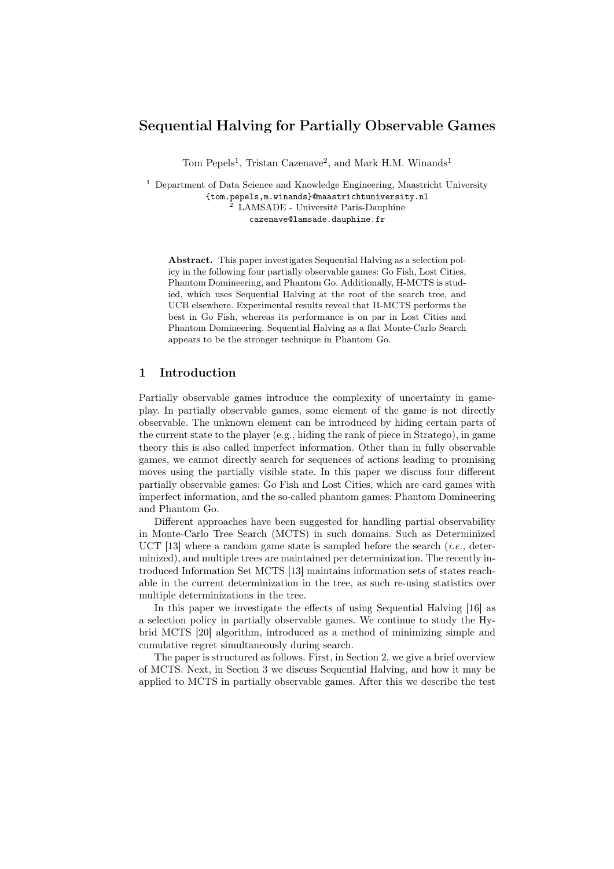# Sequential Halving for Partially Observable Games

Tom Pepels<sup>1</sup>, Tristan Cazenave<sup>2</sup>, and Mark H.M. Winands<sup>1</sup>

<sup>1</sup> Department of Data Science and Knowledge Engineering, Maastricht University {tom.pepels,m.winands}@maastrichtuniversity.nl <sup>2</sup> LAMSADE - Université Paris-Dauphine cazenave@lamsade.dauphine.fr

Abstract. This paper investigates Sequential Halving as a selection policy in the following four partially observable games: Go Fish, Lost Cities, Phantom Domineering, and Phantom Go. Additionally, H-MCTS is studied, which uses Sequential Halving at the root of the search tree, and UCB elsewhere. Experimental results reveal that H-MCTS performs the best in Go Fish, whereas its performance is on par in Lost Cities and Phantom Domineering. Sequential Halving as a flat Monte-Carlo Search appears to be the stronger technique in Phantom Go.

### 1 Introduction

Partially observable games introduce the complexity of uncertainty in gameplay. In partially observable games, some element of the game is not directly observable. The unknown element can be introduced by hiding certain parts of the current state to the player (e.g., hiding the rank of piece in Stratego), in game theory this is also called imperfect information. Other than in fully observable games, we cannot directly search for sequences of actions leading to promising moves using the partially visible state. In this paper we discuss four different partially observable games: Go Fish and Lost Cities, which are card games with imperfect information, and the so-called phantom games: Phantom Domineering and Phantom Go.

Different approaches have been suggested for handling partial observability in Monte-Carlo Tree Search (MCTS) in such domains. Such as Determinized UCT [13] where a random game state is sampled before the search  $(i.e.,$  determinized), and multiple trees are maintained per determinization. The recently introduced Information Set MCTS [13] maintains information sets of states reachable in the current determinization in the tree, as such re-using statistics over multiple determinizations in the tree.

In this paper we investigate the effects of using Sequential Halving [16] as a selection policy in partially observable games. We continue to study the Hybrid MCTS [20] algorithm, introduced as a method of minimizing simple and cumulative regret simultaneously during search.

The paper is structured as follows. First, in Section 2, we give a brief overview of MCTS. Next, in Section 3 we discuss Sequential Halving, and how it may be applied to MCTS in partially observable games. After this we describe the test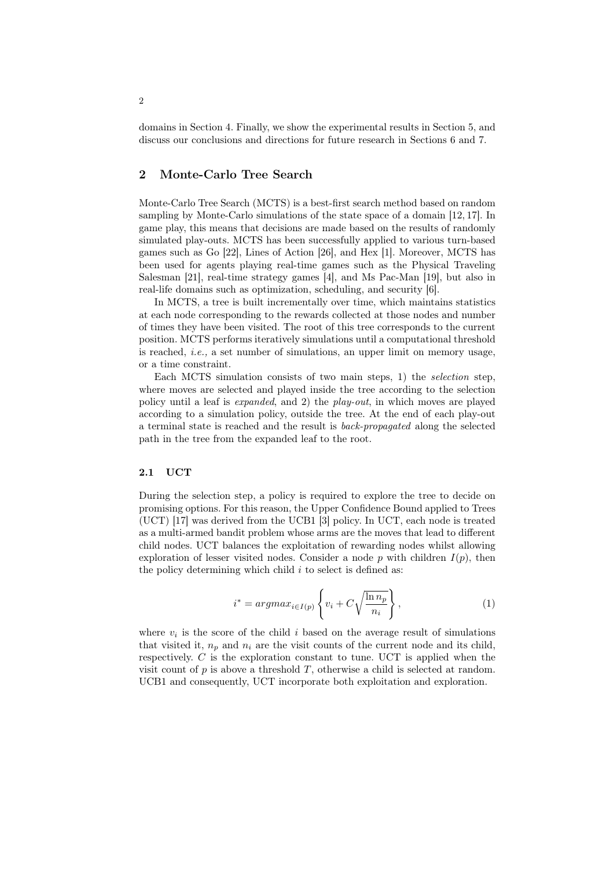domains in Section 4. Finally, we show the experimental results in Section 5, and discuss our conclusions and directions for future research in Sections 6 and 7.

## 2 Monte-Carlo Tree Search

Monte-Carlo Tree Search (MCTS) is a best-first search method based on random sampling by Monte-Carlo simulations of the state space of a domain [12, 17]. In game play, this means that decisions are made based on the results of randomly simulated play-outs. MCTS has been successfully applied to various turn-based games such as Go [22], Lines of Action [26], and Hex [1]. Moreover, MCTS has been used for agents playing real-time games such as the Physical Traveling Salesman [21], real-time strategy games [4], and Ms Pac-Man [19], but also in real-life domains such as optimization, scheduling, and security [6].

In MCTS, a tree is built incrementally over time, which maintains statistics at each node corresponding to the rewards collected at those nodes and number of times they have been visited. The root of this tree corresponds to the current position. MCTS performs iteratively simulations until a computational threshold is reached, i.e., a set number of simulations, an upper limit on memory usage, or a time constraint.

Each MCTS simulation consists of two main steps, 1) the selection step, where moves are selected and played inside the tree according to the selection policy until a leaf is expanded, and 2) the play-out, in which moves are played according to a simulation policy, outside the tree. At the end of each play-out a terminal state is reached and the result is back-propagated along the selected path in the tree from the expanded leaf to the root.

#### 2.1 UCT

During the selection step, a policy is required to explore the tree to decide on promising options. For this reason, the Upper Confidence Bound applied to Trees (UCT) [17] was derived from the UCB1 [3] policy. In UCT, each node is treated as a multi-armed bandit problem whose arms are the moves that lead to different child nodes. UCT balances the exploitation of rewarding nodes whilst allowing exploration of lesser visited nodes. Consider a node  $p$  with children  $I(p)$ , then the policy determining which child  $i$  to select is defined as:

$$
i^* = argmax_{i \in I(p)} \left\{ v_i + C \sqrt{\frac{\ln n_p}{n_i}} \right\},\tag{1}
$$

where  $v_i$  is the score of the child i based on the average result of simulations that visited it,  $n_p$  and  $n_i$  are the visit counts of the current node and its child, respectively. C is the exploration constant to tune. UCT is applied when the visit count of  $p$  is above a threshold  $T$ , otherwise a child is selected at random. UCB1 and consequently, UCT incorporate both exploitation and exploration.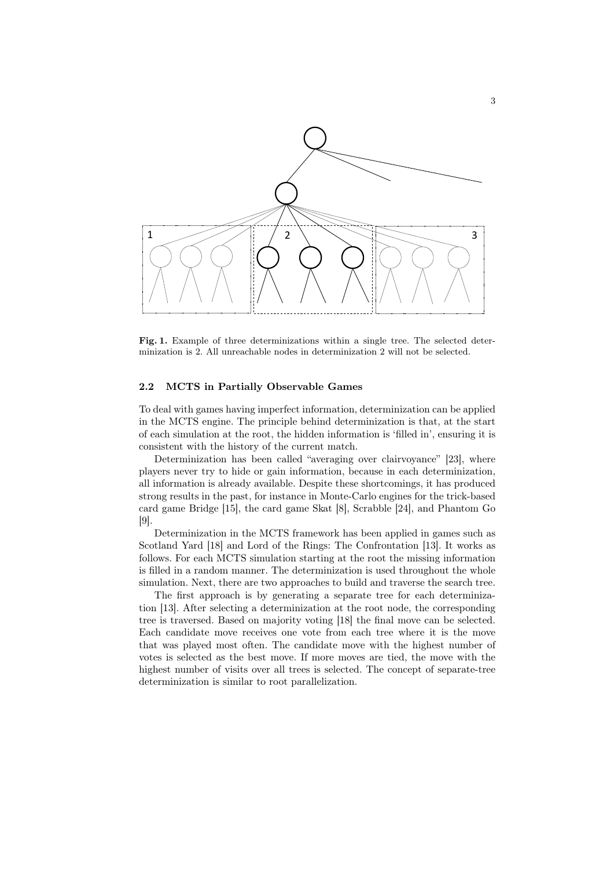

Fig. 1. Example of three determinizations within a single tree. The selected determinization is 2. All unreachable nodes in determinization 2 will not be selected.

### 2.2 MCTS in Partially Observable Games

To deal with games having imperfect information, determinization can be applied in the MCTS engine. The principle behind determinization is that, at the start of each simulation at the root, the hidden information is 'filled in', ensuring it is consistent with the history of the current match.

Determinization has been called "averaging over clairvoyance" [23], where players never try to hide or gain information, because in each determinization, all information is already available. Despite these shortcomings, it has produced strong results in the past, for instance in Monte-Carlo engines for the trick-based card game Bridge [15], the card game Skat [8], Scrabble [24], and Phantom Go [9].

Determinization in the MCTS framework has been applied in games such as Scotland Yard [18] and Lord of the Rings: The Confrontation [13]. It works as follows. For each MCTS simulation starting at the root the missing information is filled in a random manner. The determinization is used throughout the whole simulation. Next, there are two approaches to build and traverse the search tree.

The first approach is by generating a separate tree for each determinization [13]. After selecting a determinization at the root node, the corresponding tree is traversed. Based on majority voting [18] the final move can be selected. Each candidate move receives one vote from each tree where it is the move that was played most often. The candidate move with the highest number of votes is selected as the best move. If more moves are tied, the move with the highest number of visits over all trees is selected. The concept of separate-tree determinization is similar to root parallelization.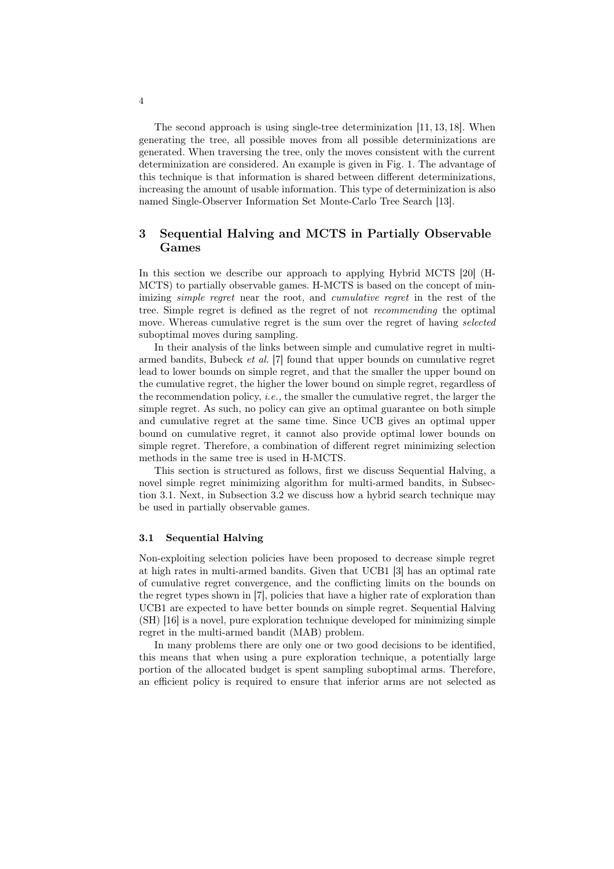The second approach is using single-tree determinization [11, 13, 18]. When generating the tree, all possible moves from all possible determinizations are generated. When traversing the tree, only the moves consistent with the current determinization are considered. An example is given in Fig. 1. The advantage of this technique is that information is shared between different determinizations, increasing the amount of usable information. This type of determinization is also named Single-Observer Information Set Monte-Carlo Tree Search [13].

## 3 Sequential Halving and MCTS in Partially Observable Games

In this section we describe our approach to applying Hybrid MCTS [20] (H-MCTS) to partially observable games. H-MCTS is based on the concept of minimizing *simple regret* near the root, and *cumulative regret* in the rest of the tree. Simple regret is defined as the regret of not recommending the optimal move. Whereas cumulative regret is the sum over the regret of having selected suboptimal moves during sampling.

In their analysis of the links between simple and cumulative regret in multiarmed bandits, Bubeck et al. [7] found that upper bounds on cumulative regret lead to lower bounds on simple regret, and that the smaller the upper bound on the cumulative regret, the higher the lower bound on simple regret, regardless of the recommendation policy, *i.e.*, the smaller the cumulative regret, the larger the simple regret. As such, no policy can give an optimal guarantee on both simple and cumulative regret at the same time. Since UCB gives an optimal upper bound on cumulative regret, it cannot also provide optimal lower bounds on simple regret. Therefore, a combination of different regret minimizing selection methods in the same tree is used in H-MCTS.

This section is structured as follows, first we discuss Sequential Halving, a novel simple regret minimizing algorithm for multi-armed bandits, in Subsection 3.1. Next, in Subsection 3.2 we discuss how a hybrid search technique may be used in partially observable games.

#### 3.1 Sequential Halving

Non-exploiting selection policies have been proposed to decrease simple regret at high rates in multi-armed bandits. Given that UCB1 [3] has an optimal rate of cumulative regret convergence, and the conflicting limits on the bounds on the regret types shown in [7], policies that have a higher rate of exploration than UCB1 are expected to have better bounds on simple regret. Sequential Halving (SH) [16] is a novel, pure exploration technique developed for minimizing simple regret in the multi-armed bandit (MAB) problem.

In many problems there are only one or two good decisions to be identified, this means that when using a pure exploration technique, a potentially large portion of the allocated budget is spent sampling suboptimal arms. Therefore, an efficient policy is required to ensure that inferior arms are not selected as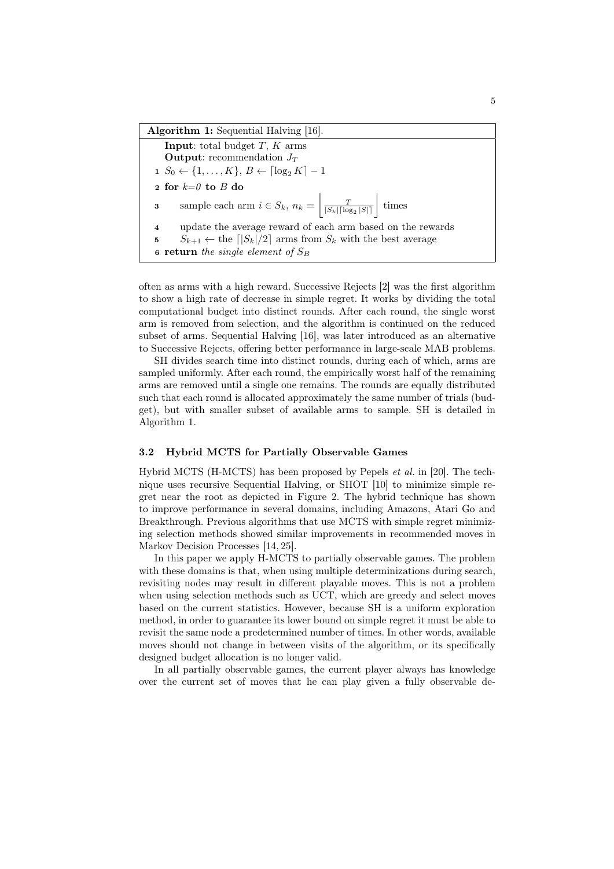| <b>Algorithm 1:</b> Sequential Halving [16].                                                             |
|----------------------------------------------------------------------------------------------------------|
| <b>Input:</b> total budget $T$ , $K$ arms                                                                |
| <b>Output:</b> recommendation $J_T$                                                                      |
| $1 S_0 \leftarrow \{1, \ldots, K\}, B \leftarrow \lceil \log_2 K \rceil - 1$                             |
| 2 for $k=0$ to B do                                                                                      |
| sample each arm $i \in S_k$ , $n_k = \left  \frac{T}{ S_k  \lceil \log_2  S  \rceil} \right $ times<br>3 |
| update the average reward of each arm based on the rewards<br>$\overline{\bf 4}$                         |
| $S_{k+1} \leftarrow$ the $\lceil  S_k /2 \rceil$ arms from $S_k$ with the best average<br>5              |
| 6 return the single element of $S_B$                                                                     |

often as arms with a high reward. Successive Rejects [2] was the first algorithm to show a high rate of decrease in simple regret. It works by dividing the total computational budget into distinct rounds. After each round, the single worst arm is removed from selection, and the algorithm is continued on the reduced subset of arms. Sequential Halving [16], was later introduced as an alternative to Successive Rejects, offering better performance in large-scale MAB problems.

SH divides search time into distinct rounds, during each of which, arms are sampled uniformly. After each round, the empirically worst half of the remaining arms are removed until a single one remains. The rounds are equally distributed such that each round is allocated approximately the same number of trials (budget), but with smaller subset of available arms to sample. SH is detailed in Algorithm 1.

#### 3.2 Hybrid MCTS for Partially Observable Games

Hybrid MCTS (H-MCTS) has been proposed by Pepels et al. in [20]. The technique uses recursive Sequential Halving, or SHOT [10] to minimize simple regret near the root as depicted in Figure 2. The hybrid technique has shown to improve performance in several domains, including Amazons, Atari Go and Breakthrough. Previous algorithms that use MCTS with simple regret minimizing selection methods showed similar improvements in recommended moves in Markov Decision Processes [14, 25].

In this paper we apply H-MCTS to partially observable games. The problem with these domains is that, when using multiple determinizations during search, revisiting nodes may result in different playable moves. This is not a problem when using selection methods such as UCT, which are greedy and select moves based on the current statistics. However, because SH is a uniform exploration method, in order to guarantee its lower bound on simple regret it must be able to revisit the same node a predetermined number of times. In other words, available moves should not change in between visits of the algorithm, or its specifically designed budget allocation is no longer valid.

In all partially observable games, the current player always has knowledge over the current set of moves that he can play given a fully observable de-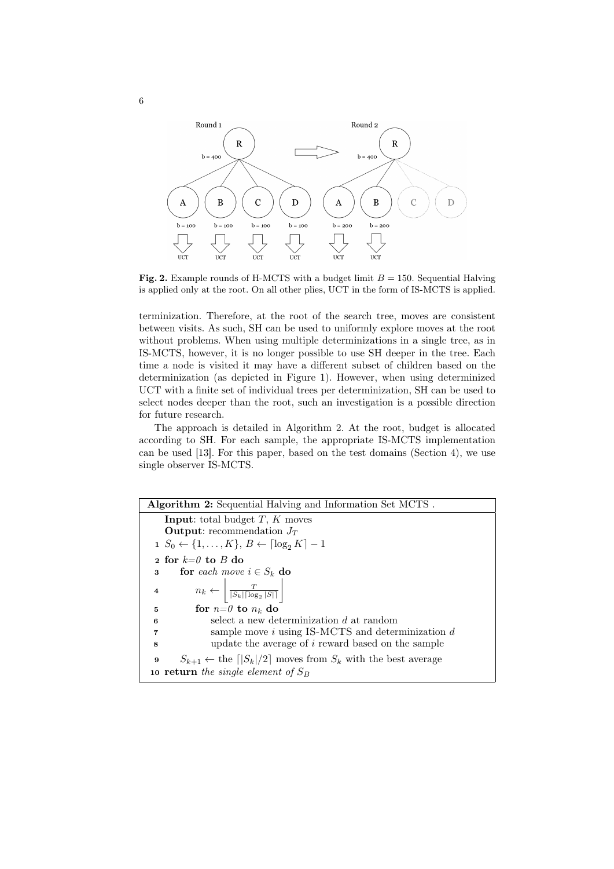

Fig. 2. Example rounds of H-MCTS with a budget limit  $B = 150$ . Sequential Halving is applied only at the root. On all other plies, UCT in the form of IS-MCTS is applied.

terminization. Therefore, at the root of the search tree, moves are consistent between visits. As such, SH can be used to uniformly explore moves at the root without problems. When using multiple determinizations in a single tree, as in IS-MCTS, however, it is no longer possible to use SH deeper in the tree. Each time a node is visited it may have a different subset of children based on the determinization (as depicted in Figure 1). However, when using determinized UCT with a finite set of individual trees per determinization, SH can be used to select nodes deeper than the root, such an investigation is a possible direction for future research.

The approach is detailed in Algorithm 2. At the root, budget is allocated according to SH. For each sample, the appropriate IS-MCTS implementation can be used [13]. For this paper, based on the test domains (Section 4), we use single observer IS-MCTS.

| <b>Algorithm 2:</b> Sequential Halving and Information Set MCTS.                               |
|------------------------------------------------------------------------------------------------|
| <b>Input:</b> total budget $T$ , $K$ moves                                                     |
| <b>Output:</b> recommendation $J_T$                                                            |
| $1 S_0 \leftarrow \{1, \ldots, K\}, B \leftarrow \lceil \log_2 K \rceil - 1$                   |
| 2 for $k=0$ to B do                                                                            |
| for each move $i \in S_k$ do<br>3                                                              |
| $n_k \leftarrow \left  \frac{T}{ S_k  \lceil \log_2  S  \rceil} \right $<br>$\overline{\bf 4}$ |
| for $n=0$ to $n_k$ do<br>5                                                                     |
| select a new determinization $d$ at random<br>6                                                |
| sample move $i$ using IS-MCTS and determinization $d$<br>7                                     |
| update the average of i reward based on the sample<br>8                                        |
| $S_{k+1} \leftarrow$ the $\lceil  S_k /2 \rceil$ moves from $S_k$ with the best average<br>9   |
| 10 return the single element of $S_B$                                                          |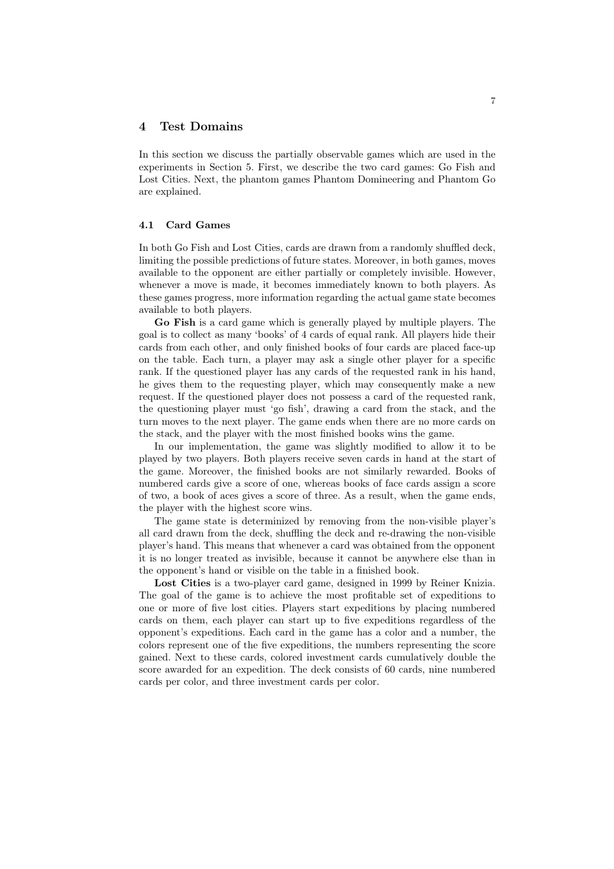#### 4 Test Domains

In this section we discuss the partially observable games which are used in the experiments in Section 5. First, we describe the two card games: Go Fish and Lost Cities. Next, the phantom games Phantom Domineering and Phantom Go are explained.

#### 4.1 Card Games

In both Go Fish and Lost Cities, cards are drawn from a randomly shuffled deck, limiting the possible predictions of future states. Moreover, in both games, moves available to the opponent are either partially or completely invisible. However, whenever a move is made, it becomes immediately known to both players. As these games progress, more information regarding the actual game state becomes available to both players.

Go Fish is a card game which is generally played by multiple players. The goal is to collect as many 'books' of 4 cards of equal rank. All players hide their cards from each other, and only finished books of four cards are placed face-up on the table. Each turn, a player may ask a single other player for a specific rank. If the questioned player has any cards of the requested rank in his hand, he gives them to the requesting player, which may consequently make a new request. If the questioned player does not possess a card of the requested rank, the questioning player must 'go fish', drawing a card from the stack, and the turn moves to the next player. The game ends when there are no more cards on the stack, and the player with the most finished books wins the game.

In our implementation, the game was slightly modified to allow it to be played by two players. Both players receive seven cards in hand at the start of the game. Moreover, the finished books are not similarly rewarded. Books of numbered cards give a score of one, whereas books of face cards assign a score of two, a book of aces gives a score of three. As a result, when the game ends, the player with the highest score wins.

The game state is determinized by removing from the non-visible player's all card drawn from the deck, shuffling the deck and re-drawing the non-visible player's hand. This means that whenever a card was obtained from the opponent it is no longer treated as invisible, because it cannot be anywhere else than in the opponent's hand or visible on the table in a finished book.

Lost Cities is a two-player card game, designed in 1999 by Reiner Knizia. The goal of the game is to achieve the most profitable set of expeditions to one or more of five lost cities. Players start expeditions by placing numbered cards on them, each player can start up to five expeditions regardless of the opponent's expeditions. Each card in the game has a color and a number, the colors represent one of the five expeditions, the numbers representing the score gained. Next to these cards, colored investment cards cumulatively double the score awarded for an expedition. The deck consists of 60 cards, nine numbered cards per color, and three investment cards per color.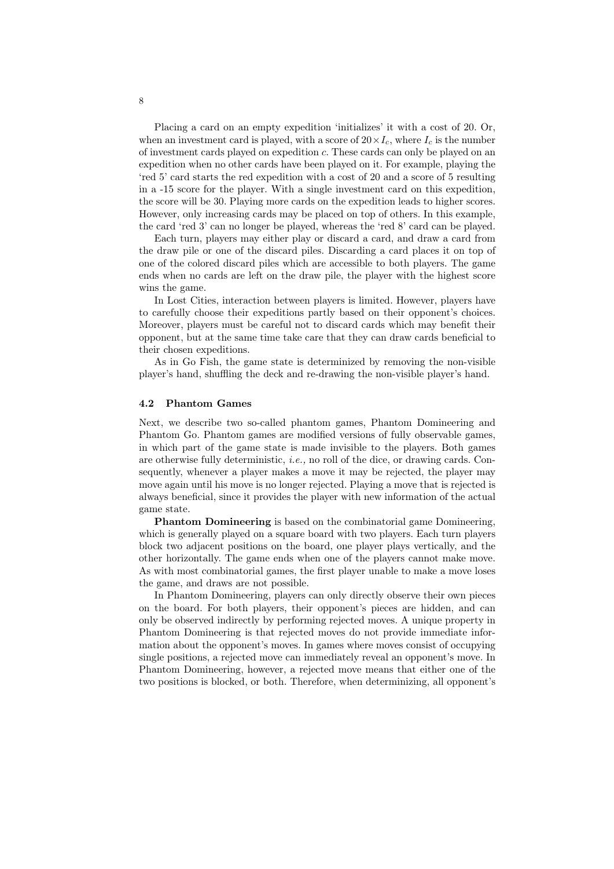Placing a card on an empty expedition 'initializes' it with a cost of 20. Or, when an investment card is played, with a score of  $20 \times I_c$ , where  $I_c$  is the number of investment cards played on expedition  $c$ . These cards can only be played on an expedition when no other cards have been played on it. For example, playing the 'red 5' card starts the red expedition with a cost of 20 and a score of 5 resulting in a -15 score for the player. With a single investment card on this expedition, the score will be 30. Playing more cards on the expedition leads to higher scores. However, only increasing cards may be placed on top of others. In this example, the card 'red 3' can no longer be played, whereas the 'red 8' card can be played.

Each turn, players may either play or discard a card, and draw a card from the draw pile or one of the discard piles. Discarding a card places it on top of one of the colored discard piles which are accessible to both players. The game ends when no cards are left on the draw pile, the player with the highest score wins the game.

In Lost Cities, interaction between players is limited. However, players have to carefully choose their expeditions partly based on their opponent's choices. Moreover, players must be careful not to discard cards which may benefit their opponent, but at the same time take care that they can draw cards beneficial to their chosen expeditions.

As in Go Fish, the game state is determinized by removing the non-visible player's hand, shuffling the deck and re-drawing the non-visible player's hand.

#### 4.2 Phantom Games

Next, we describe two so-called phantom games, Phantom Domineering and Phantom Go. Phantom games are modified versions of fully observable games, in which part of the game state is made invisible to the players. Both games are otherwise fully deterministic, *i.e.*, no roll of the dice, or drawing cards. Consequently, whenever a player makes a move it may be rejected, the player may move again until his move is no longer rejected. Playing a move that is rejected is always beneficial, since it provides the player with new information of the actual game state.

Phantom Domineering is based on the combinatorial game Domineering, which is generally played on a square board with two players. Each turn players block two adjacent positions on the board, one player plays vertically, and the other horizontally. The game ends when one of the players cannot make move. As with most combinatorial games, the first player unable to make a move loses the game, and draws are not possible.

In Phantom Domineering, players can only directly observe their own pieces on the board. For both players, their opponent's pieces are hidden, and can only be observed indirectly by performing rejected moves. A unique property in Phantom Domineering is that rejected moves do not provide immediate information about the opponent's moves. In games where moves consist of occupying single positions, a rejected move can immediately reveal an opponent's move. In Phantom Domineering, however, a rejected move means that either one of the two positions is blocked, or both. Therefore, when determinizing, all opponent's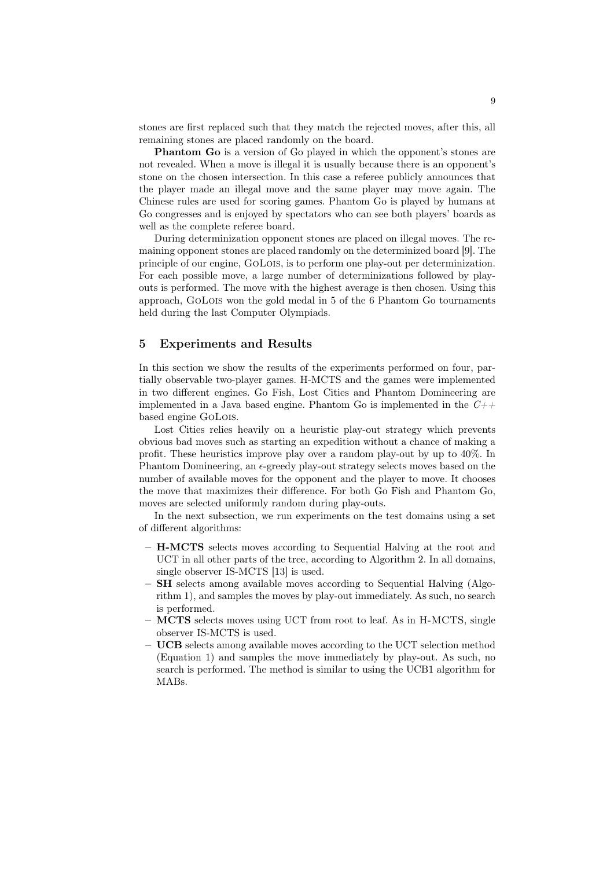stones are first replaced such that they match the rejected moves, after this, all remaining stones are placed randomly on the board.

Phantom Go is a version of Go played in which the opponent's stones are not revealed. When a move is illegal it is usually because there is an opponent's stone on the chosen intersection. In this case a referee publicly announces that the player made an illegal move and the same player may move again. The Chinese rules are used for scoring games. Phantom Go is played by humans at Go congresses and is enjoyed by spectators who can see both players' boards as well as the complete referee board.

During determinization opponent stones are placed on illegal moves. The remaining opponent stones are placed randomly on the determinized board [9]. The principle of our engine, GoLois, is to perform one play-out per determinization. For each possible move, a large number of determinizations followed by playouts is performed. The move with the highest average is then chosen. Using this approach, GoLois won the gold medal in 5 of the 6 Phantom Go tournaments held during the last Computer Olympiads.

### 5 Experiments and Results

In this section we show the results of the experiments performed on four, partially observable two-player games. H-MCTS and the games were implemented in two different engines. Go Fish, Lost Cities and Phantom Domineering are implemented in a Java based engine. Phantom Go is implemented in the  $C_{++}$ based engine GoLois.

Lost Cities relies heavily on a heuristic play-out strategy which prevents obvious bad moves such as starting an expedition without a chance of making a profit. These heuristics improve play over a random play-out by up to 40%. In Phantom Domineering, an  $\epsilon$ -greedy play-out strategy selects moves based on the number of available moves for the opponent and the player to move. It chooses the move that maximizes their difference. For both Go Fish and Phantom Go, moves are selected uniformly random during play-outs.

In the next subsection, we run experiments on the test domains using a set of different algorithms:

- H-MCTS selects moves according to Sequential Halving at the root and UCT in all other parts of the tree, according to Algorithm 2. In all domains, single observer IS-MCTS [13] is used.
- SH selects among available moves according to Sequential Halving (Algorithm 1), and samples the moves by play-out immediately. As such, no search is performed.
- MCTS selects moves using UCT from root to leaf. As in H-MCTS, single observer IS-MCTS is used.
- UCB selects among available moves according to the UCT selection method (Equation 1) and samples the move immediately by play-out. As such, no search is performed. The method is similar to using the UCB1 algorithm for MABs.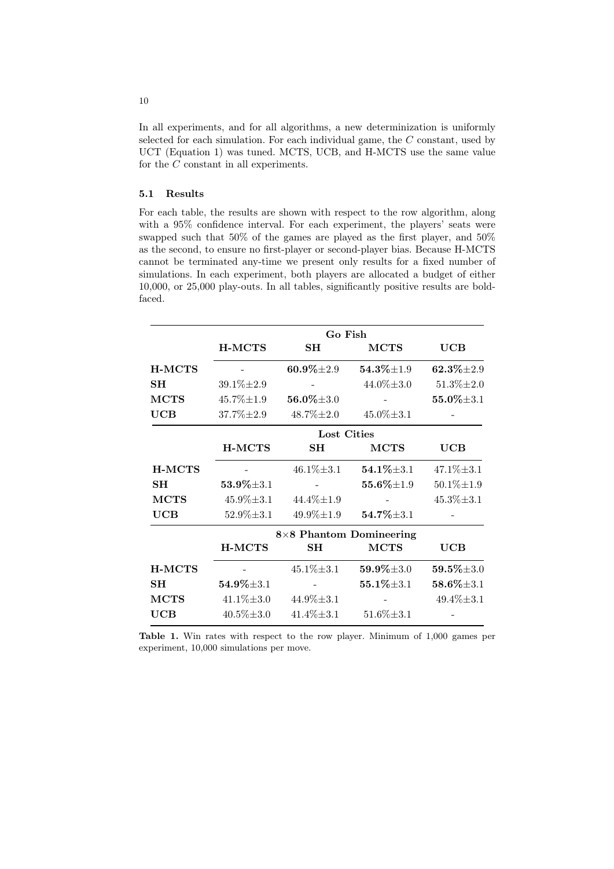In all experiments, and for all algorithms, a new determinization is uniformly selected for each simulation. For each individual game, the C constant, used by UCT (Equation 1) was tuned. MCTS, UCB, and H-MCTS use the same value for the C constant in all experiments.

#### 5.1 Results

For each table, the results are shown with respect to the row algorithm, along with a 95% confidence interval. For each experiment, the players' seats were swapped such that 50% of the games are played as the first player, and 50% as the second, to ensure no first-player or second-player bias. Because H-MCTS cannot be terminated any-time we present only results for a fixed number of simulations. In each experiment, both players are allocated a budget of either 10,000, or 25,000 play-outs. In all tables, significantly positive results are boldfaced.

|               | Go Fish                         |                  |                  |                  |  |
|---------------|---------------------------------|------------------|------------------|------------------|--|
|               | <b>H-MCTS</b>                   | SН               | <b>MCTS</b>      | <b>UCB</b>       |  |
| <b>H-MCTS</b> |                                 | $60.9\% \pm 2.9$ | $54.3\% \pm 1.9$ | $62.3\% \pm 2.9$ |  |
| <b>SH</b>     | $39.1\% \pm 2.9$                |                  | $44.0\% \pm 3.0$ | $51.3\% \pm 2.0$ |  |
| <b>MCTS</b>   | 45.7% $\pm 1.9$                 | $56.0\% \pm 3.0$ |                  | $55.0\% \pm 3.1$ |  |
| UCB           | 37.7% $\pm 2.9$                 | $48.7\% \pm 2.0$ | $45.0\% \pm 3.1$ |                  |  |
|               | Lost Cities                     |                  |                  |                  |  |
|               | <b>H-MCTS</b>                   | SН               | <b>MCTS</b>      | <b>UCB</b>       |  |
| <b>H-MCTS</b> |                                 | $46.1\% \pm 3.1$ | $54.1\% \pm 3.1$ | $47.1\% \pm 3.1$ |  |
| <b>SH</b>     | $53.9\% \pm 3.1$                |                  | $55.6\% \pm 1.9$ | $50.1\% \pm 1.9$ |  |
| <b>MCTS</b>   | $45.9\% \pm 3.1$                | $44.4\% \pm 1.9$ |                  | $45.3\% \pm 3.1$ |  |
| UCB           | $52.9\% \pm 3.1$                | $49.9\% \pm 1.9$ | $54.7\% \pm 3.1$ |                  |  |
|               | $8\times 8$ Phantom Domineering |                  |                  |                  |  |
|               | <b>H-MCTS</b>                   | SН               | <b>MCTS</b>      | UCB              |  |
| <b>H-MCTS</b> |                                 | $45.1\% \pm 3.1$ | $59.9\% \pm 3.0$ | $59.5\% \pm 3.0$ |  |
| <b>SH</b>     | $54.9\% \pm 3.1$                |                  | $55.1\% \pm 3.1$ | $58.6\% \pm 3.1$ |  |
| <b>MCTS</b>   | $41.1\% \pm 3.0$                | $44.9\% \pm 3.1$ |                  | $49.4\% \pm 3.1$ |  |
| UCB           | $40.5\% \pm 3.0$                | $41.4\% \pm 3.1$ | $51.6\% \pm 3.1$ |                  |  |

Table 1. Win rates with respect to the row player. Minimum of 1,000 games per experiment, 10,000 simulations per move.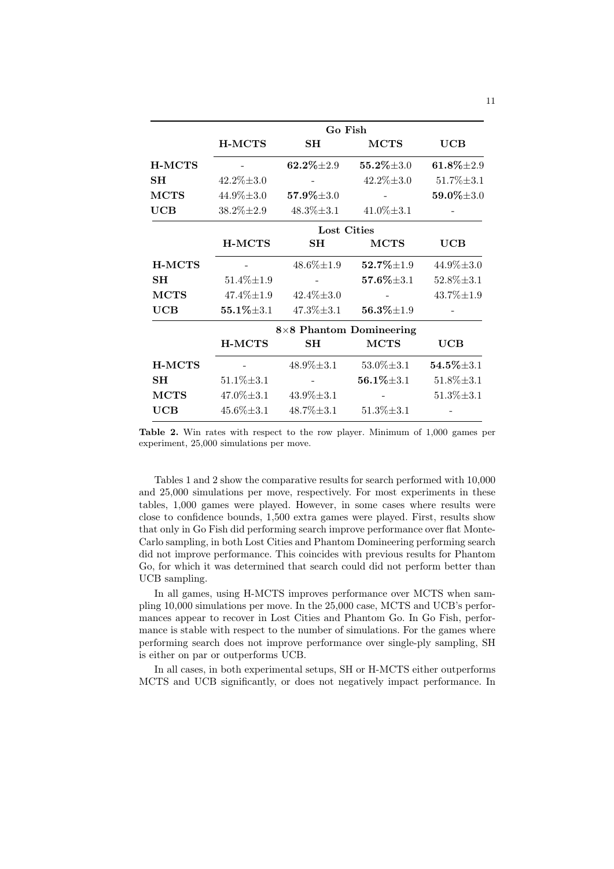|               | Go Fish                        |                  |                  |                  |  |
|---------------|--------------------------------|------------------|------------------|------------------|--|
|               | <b>H-MCTS</b>                  | SН               | <b>MCTS</b>      | <b>UCB</b>       |  |
| <b>H-MCTS</b> |                                | $62.2\% \pm 2.9$ | $55.2\% \pm 3.0$ | $61.8\% \pm 2.9$ |  |
| SН            | $42.2\% \pm 3.0$               |                  | $42.2\% \pm 3.0$ | $51.7\% \pm 3.1$ |  |
| <b>MCTS</b>   | $44.9\% \pm 3.0$               | $57.9\% \pm 3.0$ |                  | $59.0\% \pm 3.0$ |  |
| UCB           | $38.2\% \pm 2.9$               | $48.3\% \pm 3.1$ | $41.0\% \pm 3.1$ |                  |  |
|               |                                |                  |                  |                  |  |
|               | <b>H-MCTS</b>                  | SН               | MCTS             | UCB              |  |
| <b>H-MCTS</b> |                                | $48.6\% \pm 1.9$ | $52.7\% \pm 1.9$ | $44.9\% \pm 3.0$ |  |
| SН            | $51.4\% \pm 1.9$               |                  | $57.6\% \pm 3.1$ | $52.8\% \pm 3.1$ |  |
| <b>MCTS</b>   | 47.4% $\pm 1.9$                | $42.4\% \pm 3.0$ |                  | 43.7%±1.9        |  |
| UCB           | $55.1\% \pm 3.1$               | $47.3\% \pm 3.1$ | $56.3\% \pm 1.9$ |                  |  |
|               | $8\times8$ Phantom Domineering |                  |                  |                  |  |
|               | <b>H-MCTS</b>                  | <b>SH</b>        | <b>MCTS</b>      | UCB              |  |
| <b>H-MCTS</b> |                                | $48.9\% \pm 3.1$ | $53.0\% \pm 3.1$ | $54.5\% \pm 3.1$ |  |
| SН            | $51.1\% \pm 3.1$               |                  | $56.1\% \pm 3.1$ | $51.8\% \pm 3.1$ |  |
| MCTS          | $47.0\% \pm 3.1$               | $43.9\% \pm 3.1$ |                  | $51.3\% \pm 3.1$ |  |
| UCB           | $45.6\% \pm 3.1$               | $48.7\% \pm 3.1$ | $51.3\% \pm 3.1$ |                  |  |

Table 2. Win rates with respect to the row player. Minimum of 1,000 games per experiment, 25,000 simulations per move.

Tables 1 and 2 show the comparative results for search performed with 10,000 and 25,000 simulations per move, respectively. For most experiments in these tables, 1,000 games were played. However, in some cases where results were close to confidence bounds, 1,500 extra games were played. First, results show that only in Go Fish did performing search improve performance over flat Monte-Carlo sampling, in both Lost Cities and Phantom Domineering performing search did not improve performance. This coincides with previous results for Phantom Go, for which it was determined that search could did not perform better than UCB sampling.

In all games, using H-MCTS improves performance over MCTS when sampling 10,000 simulations per move. In the 25,000 case, MCTS and UCB's performances appear to recover in Lost Cities and Phantom Go. In Go Fish, performance is stable with respect to the number of simulations. For the games where performing search does not improve performance over single-ply sampling, SH is either on par or outperforms UCB.

In all cases, in both experimental setups, SH or H-MCTS either outperforms MCTS and UCB significantly, or does not negatively impact performance. In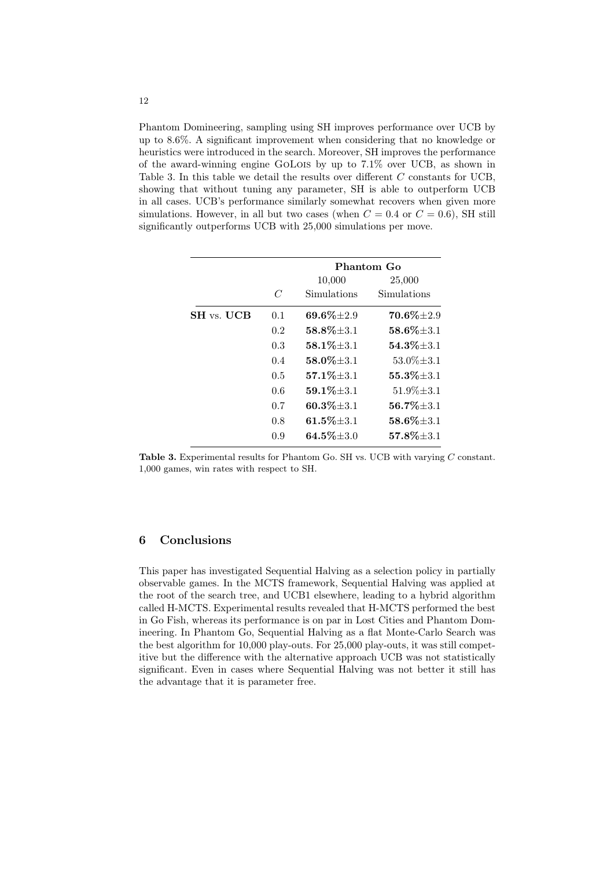Phantom Domineering, sampling using SH improves performance over UCB by up to 8.6%. A significant improvement when considering that no knowledge or heuristics were introduced in the search. Moreover, SH improves the performance of the award-winning engine GoLois by up to 7.1% over UCB, as shown in Table 3. In this table we detail the results over different C constants for UCB, showing that without tuning any parameter, SH is able to outperform UCB in all cases. UCB's performance similarly somewhat recovers when given more simulations. However, in all but two cases (when  $C = 0.4$  or  $C = 0.6$ ), SH still significantly outperforms UCB with 25,000 simulations per move.

|                   |               | Phantom Go       |                  |
|-------------------|---------------|------------------|------------------|
|                   |               | 10,000           | 25,000           |
|                   | $\mathcal{C}$ | Simulations      | Simulations      |
| <b>SH</b> vs. UCB | 0.1           | $69.6\% \pm 2.9$ | $70.6\% \pm 2.9$ |
|                   | 0.2           | $58.8\% + 3.1$   | $58.6\% \pm 3.1$ |
|                   | 0.3           | $58.1\% \pm 3.1$ | $54.3\% \pm 3.1$ |
|                   | 0.4           | $58.0\% + 3.1$   | $53.0\% \pm 3.1$ |
|                   | 0.5           | $57.1\% \pm 3.1$ | $55.3\% \pm 3.1$ |
|                   | 0.6           | $59.1\% \pm 3.1$ | $51.9\% \pm 3.1$ |
|                   | 0.7           | $60.3\% \pm 3.1$ | $56.7\% \pm 3.1$ |
|                   | 0.8           | $61.5\% \pm 3.1$ | $58.6\% \pm 3.1$ |
|                   | 0.9           | $64.5\% \pm 3.0$ | $57.8\% \pm 3.1$ |

Table 3. Experimental results for Phantom Go. SH vs. UCB with varying C constant. 1,000 games, win rates with respect to SH.

## 6 Conclusions

This paper has investigated Sequential Halving as a selection policy in partially observable games. In the MCTS framework, Sequential Halving was applied at the root of the search tree, and UCB1 elsewhere, leading to a hybrid algorithm called H-MCTS. Experimental results revealed that H-MCTS performed the best in Go Fish, whereas its performance is on par in Lost Cities and Phantom Domineering. In Phantom Go, Sequential Halving as a flat Monte-Carlo Search was the best algorithm for 10,000 play-outs. For 25,000 play-outs, it was still competitive but the difference with the alternative approach UCB was not statistically significant. Even in cases where Sequential Halving was not better it still has the advantage that it is parameter free.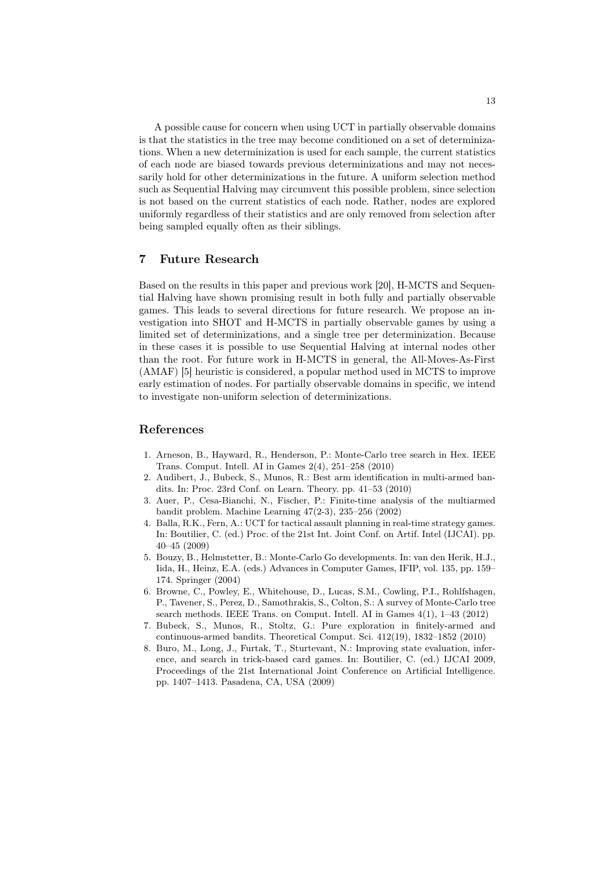A possible cause for concern when using UCT in partially observable domains is that the statistics in the tree may become conditioned on a set of determinizations. When a new determinization is used for each sample, the current statistics of each node are biased towards previous determinizations and may not necessarily hold for other determinizations in the future. A uniform selection method such as Sequential Halving may circumvent this possible problem, since selection is not based on the current statistics of each node. Rather, nodes are explored uniformly regardless of their statistics and are only removed from selection after being sampled equally often as their siblings.

## 7 Future Research

Based on the results in this paper and previous work [20], H-MCTS and Sequential Halving have shown promising result in both fully and partially observable games. This leads to several directions for future research. We propose an investigation into SHOT and H-MCTS in partially observable games by using a limited set of determinizations, and a single tree per determinization. Because in these cases it is possible to use Sequential Halving at internal nodes other than the root. For future work in H-MCTS in general, the All-Moves-As-First (AMAF) [5] heuristic is considered, a popular method used in MCTS to improve early estimation of nodes. For partially observable domains in specific, we intend to investigate non-uniform selection of determinizations.

### References

- 1. Arneson, B., Hayward, R., Henderson, P.: Monte-Carlo tree search in Hex. IEEE Trans. Comput. Intell. AI in Games 2(4), 251–258 (2010)
- 2. Audibert, J., Bubeck, S., Munos, R.: Best arm identification in multi-armed bandits. In: Proc. 23rd Conf. on Learn. Theory. pp. 41–53 (2010)
- 3. Auer, P., Cesa-Bianchi, N., Fischer, P.: Finite-time analysis of the multiarmed bandit problem. Machine Learning 47(2-3), 235–256 (2002)
- 4. Balla, R.K., Fern, A.: UCT for tactical assault planning in real-time strategy games. In: Boutilier, C. (ed.) Proc. of the 21st Int. Joint Conf. on Artif. Intel (IJCAI). pp. 40–45 (2009)
- 5. Bouzy, B., Helmstetter, B.: Monte-Carlo Go developments. In: van den Herik, H.J., Iida, H., Heinz, E.A. (eds.) Advances in Computer Games, IFIP, vol. 135, pp. 159– 174. Springer (2004)
- 6. Browne, C., Powley, E., Whitehouse, D., Lucas, S.M., Cowling, P.I., Rohlfshagen, P., Tavener, S., Perez, D., Samothrakis, S., Colton, S.: A survey of Monte-Carlo tree search methods. IEEE Trans. on Comput. Intell. AI in Games 4(1), 1–43 (2012)
- 7. Bubeck, S., Munos, R., Stoltz, G.: Pure exploration in finitely-armed and continuous-armed bandits. Theoretical Comput. Sci. 412(19), 1832–1852 (2010)
- 8. Buro, M., Long, J., Furtak, T., Sturtevant, N.: Improving state evaluation, inference, and search in trick-based card games. In: Boutilier, C. (ed.) IJCAI 2009, Proceedings of the 21st International Joint Conference on Artificial Intelligence. pp. 1407–1413. Pasadena, CA, USA (2009)